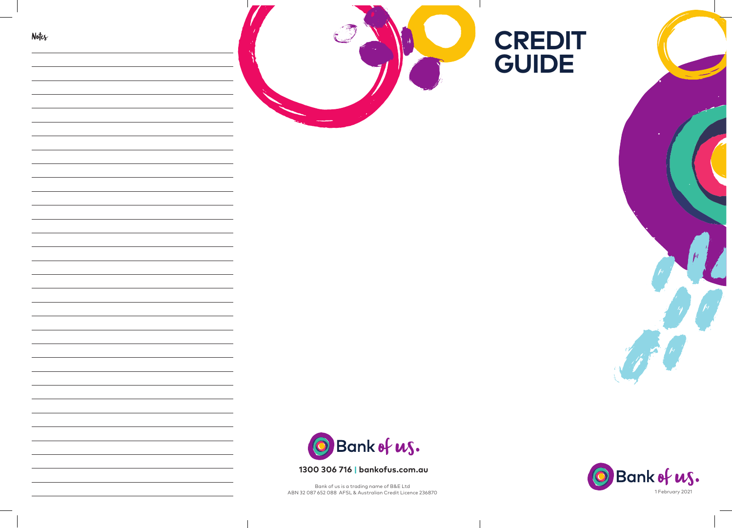



# **1300 306 716 | bankofus.com.au**

Bank of us is a trading name of B&E Ltd ABN 32 087 652 088 AFSL & Australian Credit Licence 236870